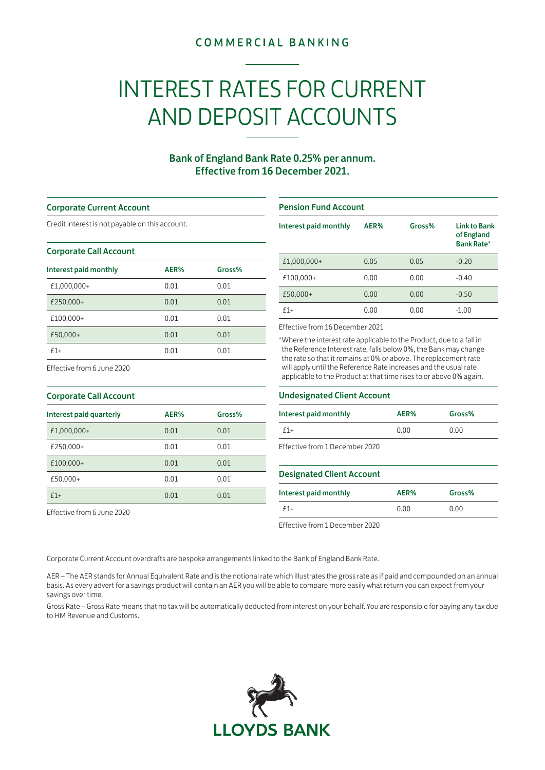# **COMMERCIAL BANKING**

# INTEREST RATES FOR CURRENT AND DEPOSIT ACCOUNTS

# Bank of England Bank Rate 0.25% per annum. Effective from 16 December 2021.

### Corporate Current Account

Credit interest is not payable on this account.

### Corporate Call Account

| Interest paid monthly | AER% | Gross% |
|-----------------------|------|--------|
| £1,000,000+           | 0.01 | 0.01   |
| £250,000+             | 0.01 | 0.01   |
| £100,000+             | 0.01 | 0.01   |
| £50,000+              | 0.01 | 0.01   |
| $f1+$                 | 0.01 | 0.01   |

# Pension Fund Account

| Interest paid monthly | AER% | Gross% | <b>Link to Bank</b><br>of England<br><b>Bank Rate*</b> |
|-----------------------|------|--------|--------------------------------------------------------|
| £1,000,000+           | 0.05 | 0.05   | $-0.20$                                                |
| £100,000+             | 0.00 | 0.00   | $-0.40$                                                |
| £50,000+              | 0.00 | 0.00   | $-0.50$                                                |
| $f1+$                 | 0.00 | 0.00   | $-1.00$                                                |

Effective from 16 December 2021

\*Where the interest rate applicable to the Product, due to a fall in the Reference Interest rate, falls below 0%, the Bank may change the rate so that it remains at 0% or above. The replacement rate will apply until the Reference Rate increases and the usual rate applicable to the Product at that time rises to or above 0% again.

Effective from 6 June 2020

| <b>Corporate Call Account</b> |      |        |  |
|-------------------------------|------|--------|--|
| Interest paid quarterly       | AER% | Gross% |  |
| £1,000,000+                   | 0.01 | 0.01   |  |
| £250,000+                     | 0.01 | 0.01   |  |
| £100,000+                     | 0.01 | 0.01   |  |
| £50,000+                      | 0.01 | 0.01   |  |
| $f1+$                         | 0.01 | 0.01   |  |

Effective from 6 June 2020

# Undesignated Client Account

| Interest paid monthly          | AER% | Gross% |
|--------------------------------|------|--------|
| $f1+$                          | 0.00 | 0.00   |
| Effective from 1 December 2020 |      |        |

## Designated Client Account

| Interest paid monthly | AER% | Gross% |
|-----------------------|------|--------|
| $f1+$                 | 0.00 | 0.00   |

Effective from 1 December 2020

Corporate Current Account overdrafts are bespoke arrangements linked to the Bank of England Bank Rate.

AER – The AER stands for Annual Equivalent Rate and is the notional rate which illustrates the gross rate as if paid and compounded on an annual basis. As every advert for a savings product will contain an AER you will be able to compare more easily what return you can expect from your savings over time.

Gross Rate – Gross Rate means that no tax will be automatically deducted from interest on your behalf. You are responsible for paying any tax due to HM Revenue and Customs.